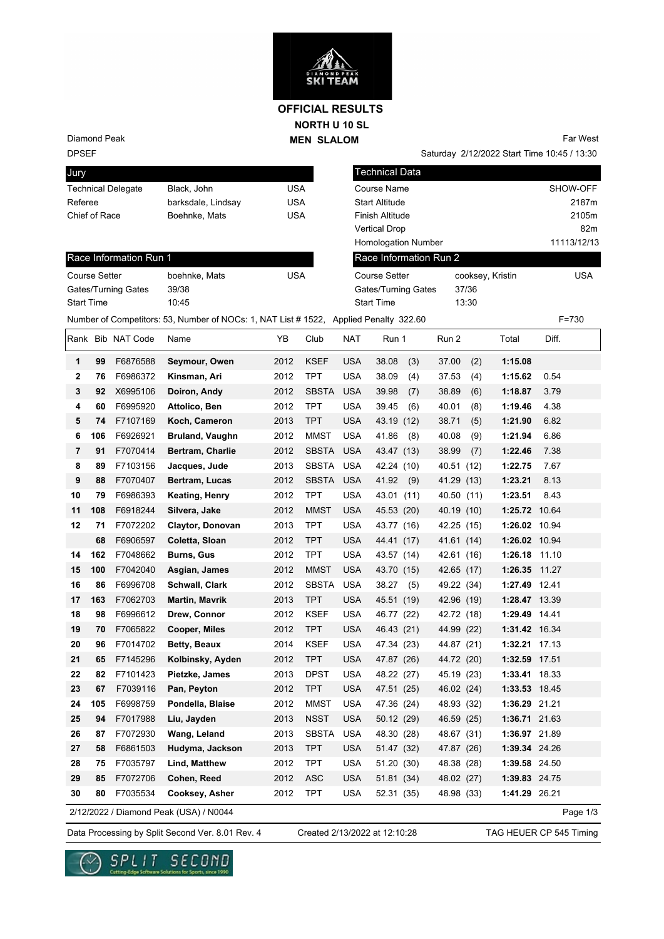

### **NORTH U 10 SL MEN SLALOM OFFICIAL RESULTS**

Diamond Peak

Race Information Run 1

Gates/Turning Gates 39/38 Start Time 10:45

# DPSEF

| <b>UMIY</b>               |                    |     |
|---------------------------|--------------------|-----|
| <b>Technical Delegate</b> | Black, John        | USA |
| Referee                   | barksdale, Lindsay | USA |
| Chief of Race             | Boehnke, Mats      | USA |
|                           |                    |     |

Course Setter boehnke, Mats USA

Far West

Saturday 2/12/2022 Start Time 10:45 / 13:30 Technical Data Course Name SHOW-OFF Start Altitude 2187m Finish Altitude 2105m Vertical Drop 82m Homologation Number 11113/12/13 cooksey, Kristin USA Gates/Turning Gates 37/36 Start Time 13:30 Number of Competitors: 53, Number of NOCs: 1, NAT List # 1522, Applied Penalty 322.60 F=730 Race Information Run 2 Course Setter

### Rank Bib NAT Code Name **YB** Club NAT Run 1 Run 2 Total Diff. **1 99** F6876588 **Seymour, Owen** 2012 KSEF USA 38.08 (3) 37.00 (2) **1:15.08 2 76** F6986372 **Kinsman, Ari** 2012 TPT USA 38.09 (4) 37.53 (4) **1:15.62** 0.54 **3 92** X6995106 **Doiron, Andy** 2012 SBSTA USA 39.98 (7) 38.89 (6) **1:18.87** 3.79 **4 60** F6995920 **Attolico, Ben** 2012 TPT USA 39.45 (6) 40.01 (8) **1:19.46** 4.38 **5 74** F7107169 **Koch, Cameron** 2013 TPT USA 43.19 (12) 38.71 (5) **1:21.90** 6.82 **6 106** F6926921 **Bruland, Vaughn** 2012 MMST USA 41.86 (8) 40.08 (9) **1:21.94** 6.86 **7 91** F7070414 **Bertram, Charlie** 2012 SBSTA USA 43.47 (13) 38.99 (7) **1:22.46** 7.38 **8 89** F7103156 **Jacques, Jude** 2013 SBSTA USA 42.24 (10) 40.51 (12) **1:22.75** 7.67 **9 88** F7070407 **Bertram, Lucas** 2012 SBSTA USA 41.92 (9) 41.29 (13) **1:23.21** 8.13 **10 79** F6986393 **Keating, Henry** 2012 TPT USA 43.01 (11) 40.50 (11) **1:23.51** 8.43 **11 108** F6918244 **Silvera, Jake** 2012 MMST USA 45.53 (20) 40.19 (10) **1:25.72** 10.64 **12 71** F7072202 **Claytor, Donovan** 2013 TPT USA 43.77 (16) 42.25 (15) **1:26.02** 10.94  **68** F6906597 **Coletta, Sloan** 2012 TPT USA 44.41 (17) 41.61 (14) **1:26.02** 10.94 **14 162** F7048662 **Burns, Gus** 2012 TPT USA 43.57 (14) 42.61 (16) **1:26.18** 11.10 **15 100** F7042040 **Asgian, James** 2012 MMST USA 43.70 (15) 42.65 (17) **1:26.35** 11.27 **16 86** F6996708 **Schwall, Clark** 2012 SBSTA USA 38.27 (5) 49.22 (34) **1:27.49** 12.41 **17 163** F7062703 **Martin, Mavrik** 2013 TPT USA 45.51 (19) 42.96 (19) **1:28.47** 13.39 **18 98** F6996612 **Drew, Connor** 2012 KSEF USA 46.77 (22) 42.72 (18) **1:29.49** 14.41 **19 70** F7065822 **Cooper, Miles** 2012 TPT USA 46.43 (21) 44.99 (22) **1:31.42** 16.34 **20 96** F7014702 **Betty, Beaux** 2014 KSEF USA 47.34 (23) 44.87 (21) **1:32.21** 17.13 **21 65** F7145296 **Kolbinsky, Ayden** 2012 TPT USA 47.87 (26) 44.72 (20) **1:32.59** 17.51 **22 82** F7101423 **Pietzke, James** 2013 DPST USA 48.22 (27) 45.19 (23) **1:33.41** 18.33 **23 67** F7039116 **Pan, Peyton** 2012 TPT USA 47.51 (25) 46.02 (24) **1:33.53** 18.45 **24 105** F6998759 **Pondella, Blaise** 2012 MMST USA 47.36 (24) 48.93 (32) **1:36.29** 21.21 **25 94** F7017988 **Liu, Jayden** 2013 NSST USA 50.12 (29) 46.59 (25) **1:36.71** 21.63 **26 87** F7072930 **Wang, Leland** 2013 SBSTA USA 48.30 (28) 48.67 (31) **1:36.97** 21.89 **27 58** F6861503 **Hudyma, Jackson** 2013 TPT USA 51.47 (32) 47.87 (26) **1:39.34** 24.26 **28 75** F7035797 **Lind, Matthew** 2012 TPT USA 51.20 (30) 48.38 (28) **1:39.58** 24.50 **29 85** F7072706 **Cohen, Reed** 2012 ASC USA 51.81 (34) 48.02 (27) **1:39.83** 24.75 **30 80** F7035534 **Cooksey, Asher** 2012 TPT USA 52.31 (35) 48.98 (33) **1:41.29** 26.21

2/12/2022 / Diamond Peak (USA) / N0044

Page 1/3

Data Processing by Split Second Ver. 8.01 Rev. 4 Created 2/13/2022 at 12:10:28 TAG HEUER CP 545 Timing

Created 2/13/2022 at 12:10:28

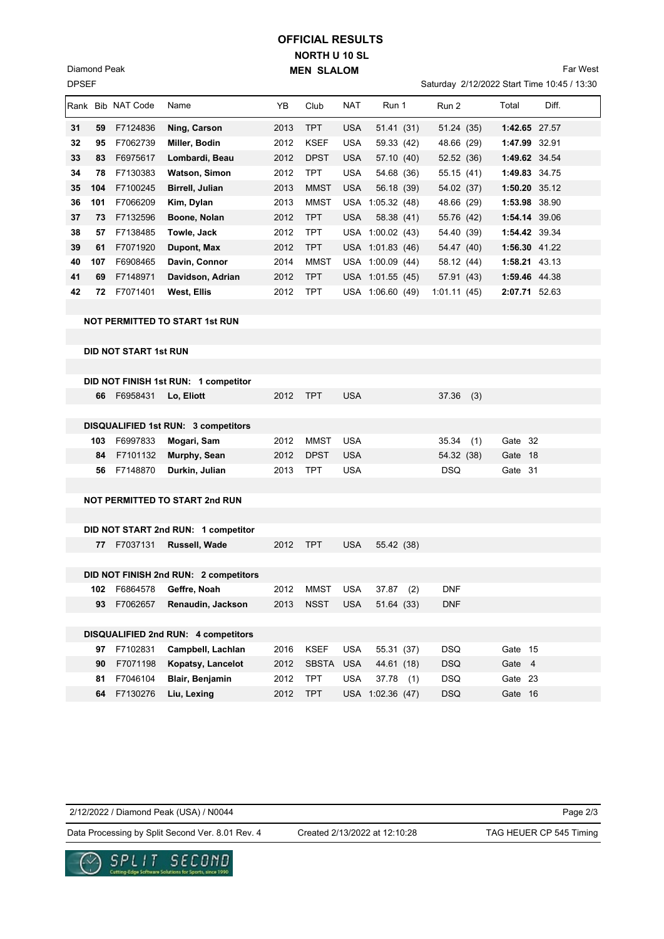## **NORTH U 10 SL MEN SLALOM OFFICIAL RESULTS**

Saturday 2/12/2022 Start Time 10:45 / 13:30 Far West

|    |                                       | Rank Bib NAT Code            | Name                                       | YB   | Club         | NAT        | Run 1            |     | Run 2       |     | Total   | Diff.         |
|----|---------------------------------------|------------------------------|--------------------------------------------|------|--------------|------------|------------------|-----|-------------|-----|---------|---------------|
| 31 | 59                                    | F7124836                     | Ning, Carson                               | 2013 | <b>TPT</b>   | <b>USA</b> | 51.41(31)        |     | 51.24 (35)  |     |         | 1:42.65 27.57 |
| 32 | 95                                    | F7062739                     | Miller, Bodin                              | 2012 | <b>KSEF</b>  | <b>USA</b> | 59.33 (42)       |     | 48.66 (29)  |     |         | 1:47.99 32.91 |
| 33 | 83                                    | F6975617                     | Lombardi, Beau                             | 2012 | <b>DPST</b>  | <b>USA</b> | 57.10 (40)       |     | 52.52 (36)  |     |         | 1:49.62 34.54 |
| 34 | 78                                    | F7130383                     | Watson, Simon                              | 2012 | TPT          | <b>USA</b> | 54.68 (36)       |     | 55.15 (41)  |     |         | 1:49.83 34.75 |
| 35 | 104                                   | F7100245                     | Birrell, Julian                            | 2013 | <b>MMST</b>  | <b>USA</b> | 56.18 (39)       |     | 54.02 (37)  |     |         | 1:50.20 35.12 |
| 36 | 101                                   | F7066209                     | Kim, Dylan                                 | 2013 | <b>MMST</b>  |            | USA 1:05.32 (48) |     | 48.66 (29)  |     |         | 1:53.98 38.90 |
| 37 | 73                                    | F7132596                     | Boone, Nolan                               | 2012 | <b>TPT</b>   | <b>USA</b> | 58.38 (41)       |     | 55.76 (42)  |     |         | 1:54.14 39.06 |
| 38 | 57                                    | F7138485                     | Towle, Jack                                | 2012 | <b>TPT</b>   |            | USA 1:00.02 (43) |     | 54.40 (39)  |     |         | 1:54.42 39.34 |
| 39 | 61                                    | F7071920                     | Dupont, Max                                | 2012 | <b>TPT</b>   |            | USA 1:01.83 (46) |     | 54.47 (40)  |     |         | 1:56.30 41.22 |
| 40 | 107                                   | F6908465                     | Davin, Connor                              | 2014 | <b>MMST</b>  |            | USA 1:00.09 (44) |     | 58.12 (44)  |     |         | 1:58.21 43.13 |
| 41 | 69                                    | F7148971                     | Davidson, Adrian                           | 2012 | <b>TPT</b>   |            | USA 1:01.55 (45) |     | 57.91 (43)  |     |         | 1:59.46 44.38 |
| 42 | 72                                    | F7071401                     | West, Ellis                                | 2012 | <b>TPT</b>   |            | USA 1:06.60 (49) |     | 1:01.11(45) |     |         | 2:07.71 52.63 |
|    |                                       |                              |                                            |      |              |            |                  |     |             |     |         |               |
|    |                                       |                              | <b>NOT PERMITTED TO START 1st RUN</b>      |      |              |            |                  |     |             |     |         |               |
|    |                                       |                              |                                            |      |              |            |                  |     |             |     |         |               |
|    |                                       | <b>DID NOT START 1st RUN</b> |                                            |      |              |            |                  |     |             |     |         |               |
|    |                                       |                              |                                            |      |              |            |                  |     |             |     |         |               |
|    |                                       |                              | DID NOT FINISH 1st RUN: 1 competitor       |      |              |            |                  |     |             |     |         |               |
|    | 66 -                                  | F6958431                     | Lo, Eliott                                 | 2012 | <b>TPT</b>   | <b>USA</b> |                  |     | 37.36       | (3) |         |               |
|    |                                       |                              |                                            |      |              |            |                  |     |             |     |         |               |
|    |                                       |                              | <b>DISQUALIFIED 1st RUN: 3 competitors</b> |      |              |            |                  |     |             |     |         |               |
|    | 103                                   | F6997833                     | Mogari, Sam                                | 2012 | <b>MMST</b>  | <b>USA</b> |                  |     | 35.34       | (1) | Gate 32 |               |
|    | 84                                    | F7101132                     | Murphy, Sean                               | 2012 | <b>DPST</b>  | <b>USA</b> |                  |     | 54.32 (38)  |     | Gate 18 |               |
|    |                                       | 56 F7148870                  | Durkin, Julian                             | 2013 | TPT          | <b>USA</b> |                  |     | <b>DSQ</b>  |     | Gate 31 |               |
|    |                                       |                              |                                            |      |              |            |                  |     |             |     |         |               |
|    |                                       |                              | <b>NOT PERMITTED TO START 2nd RUN</b>      |      |              |            |                  |     |             |     |         |               |
|    |                                       |                              |                                            |      |              |            |                  |     |             |     |         |               |
|    |                                       |                              | DID NOT START 2nd RUN: 1 competitor        |      |              |            |                  |     |             |     |         |               |
|    | 77                                    | F7037131                     | Russell, Wade                              | 2012 | <b>TPT</b>   | <b>USA</b> | 55.42 (38)       |     |             |     |         |               |
|    |                                       |                              |                                            |      |              |            |                  |     |             |     |         |               |
|    | DID NOT FINISH 2nd RUN: 2 competitors |                              |                                            |      |              |            |                  |     |             |     |         |               |
|    |                                       |                              | 102 F6864578 Geffre, Noah                  |      | 2012 MMST    | <b>USA</b> | 37.87            | (2) | <b>DNF</b>  |     |         |               |
|    | 93                                    | F7062657                     | Renaudin, Jackson                          | 2013 | <b>NSST</b>  | <b>USA</b> | 51.64 (33)       |     | <b>DNF</b>  |     |         |               |
|    |                                       |                              |                                            |      |              |            |                  |     |             |     |         |               |
|    | DISQUALIFIED 2nd RUN: 4 competitors   |                              |                                            |      |              |            |                  |     |             |     |         |               |
|    | 97                                    | F7102831                     | Campbell, Lachlan                          | 2016 | <b>KSEF</b>  | <b>USA</b> | 55.31 (37)       |     | <b>DSQ</b>  |     | Gate 15 |               |
|    | 90                                    | F7071198                     | Kopatsy, Lancelot                          | 2012 | <b>SBSTA</b> | <b>USA</b> | 44.61 (18)       |     | <b>DSQ</b>  |     | Gate 4  |               |
|    | 81                                    | F7046104                     | Blair, Benjamin                            | 2012 | <b>TPT</b>   | <b>USA</b> | $37.78$ (1)      |     | <b>DSQ</b>  |     | Gate 23 |               |
|    | 64                                    | F7130276                     | Liu, Lexing                                | 2012 | <b>TPT</b>   | USA        | 1:02.36(47)      |     | <b>DSQ</b>  |     | Gate 16 |               |

2/12/2022 / Diamond Peak (USA) / N0044

Created 2/13/2022 at 12:10:28

Page 2/3



DPSEF Diamond Peak